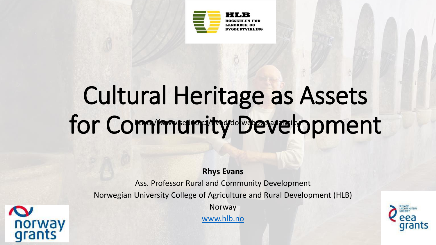

## Cultural Heritage as Assets for Community Development https://www.seduo.cz/uvod/dolweboxeanalytiky

**Rhys Evans**

Ass. Professor Rural and Community Development Norwegian University College of Agriculture and Rural Development (HLB)

Norway

[www.hlb.no](http://www.hlb.no/)



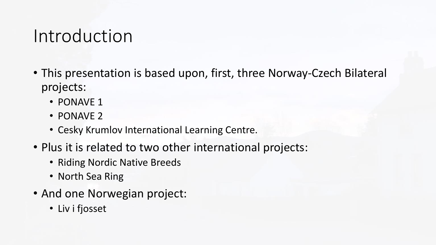### Introduction

- This presentation is based upon, first, three Norway-Czech Bilateral projects:
	- PONAVE 1
	- PONAVE 2
	- Cesky Krumlov International Learning Centre.
- Plus it is related to two other international projects:
	- Riding Nordic Native Breeds
	- North Sea Ring
- And one Norwegian project:
	- Liv i fjosset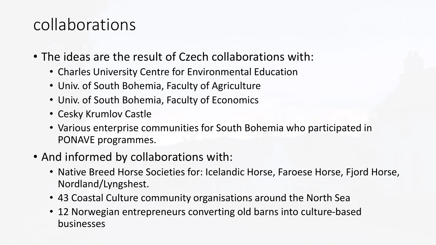### collaborations

- The ideas are the result of Czech collaborations with:
	- Charles University Centre for Environmental Education
	- Univ. of South Bohemia, Faculty of Agriculture
	- Univ. of South Bohemia, Faculty of Economics
	- Cesky Krumlov Castle
	- Various enterprise communities for South Bohemia who participated in PONAVE programmes.
- And informed by collaborations with:
	- Native Breed Horse Societies for: Icelandic Horse, Faroese Horse, Fjord Horse, Nordland/Lyngshest.
	- 43 Coastal Culture community organisations around the North Sea
	- 12 Norwegian entrepreneurs converting old barns into culture-based businesses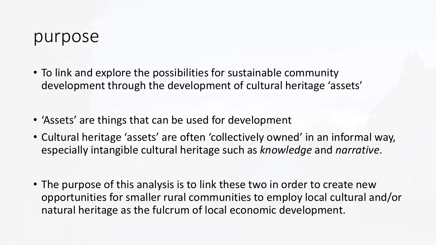#### purpose

- To link and explore the possibilities for sustainable community development through the development of cultural heritage 'assets'
- 'Assets' are things that can be used for development
- Cultural heritage 'assets' are often 'collectively owned' in an informal way, especially intangible cultural heritage such as *knowledge* and *narrative*.
- The purpose of this analysis is to link these two in order to create new opportunities for smaller rural communities to employ local cultural and/or natural heritage as the fulcrum of local economic development.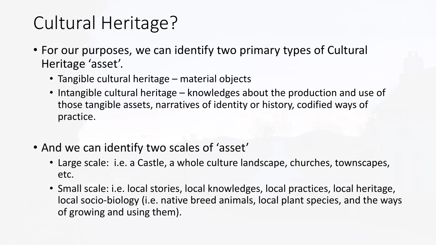# Cultural Heritage?

- For our purposes, we can identify two primary types of Cultural Heritage 'asset'.
	- Tangible cultural heritage material objects
	- Intangible cultural heritage knowledges about the production and use of those tangible assets, narratives of identity or history, codified ways of practice.
- And we can identify two scales of 'asset'
	- Large scale: i.e. a Castle, a whole culture landscape, churches, townscapes, etc.
	- Small scale: i.e. local stories, local knowledges, local practices, local heritage, local socio-biology (i.e. native breed animals, local plant species, and the ways of growing and using them).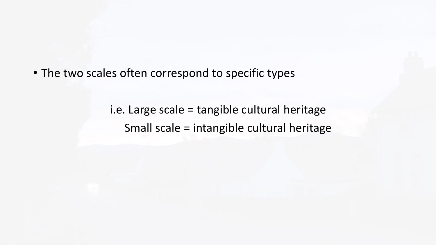• The two scales often correspond to specific types

i.e. Large scale = tangible cultural heritage Small scale = intangible cultural heritage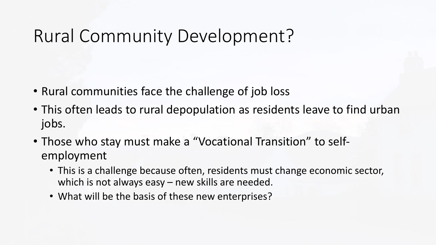# Rural Community Development?

- Rural communities face the challenge of job loss
- This often leads to rural depopulation as residents leave to find urban jobs.
- Those who stay must make a "Vocational Transition" to selfemployment
	- This is a challenge because often, residents must change economic sector, which is not always easy – new skills are needed.
	- What will be the basis of these new enterprises?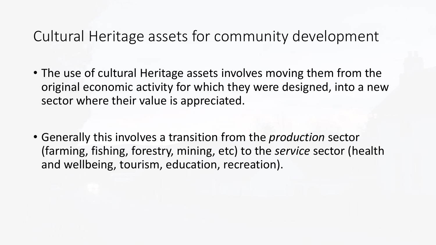### Cultural Heritage assets for community development

- The use of cultural Heritage assets involves moving them from the original economic activity for which they were designed, into a new sector where their value is appreciated.
- Generally this involves a transition from the *production* sector (farming, fishing, forestry, mining, etc) to the *service* sector (health and wellbeing, tourism, education, recreation).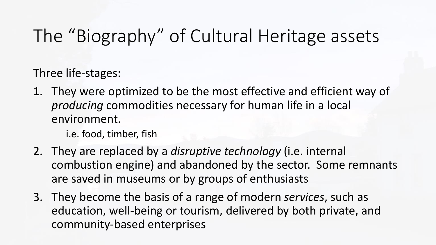# The "Biography" of Cultural Heritage assets

Three life-stages:

1. They were optimized to be the most effective and efficient way of *producing* commodities necessary for human life in a local environment.

i.e. food, timber, fish

- 2. They are replaced by a *disruptive technology* (i.e. internal combustion engine) and abandoned by the sector. Some remnants are saved in museums or by groups of enthusiasts
- 3. They become the basis of a range of modern *services*, such as education, well-being or tourism, delivered by both private, and community-based enterprises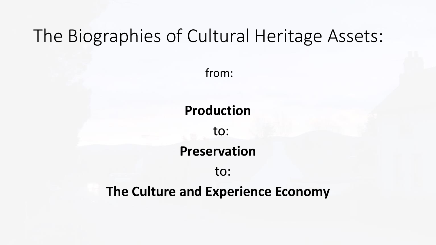## The Biographies of Cultural Heritage Assets:

from:

### **Production**

to:

#### **Preservation**

to:

#### **The Culture and Experience Economy**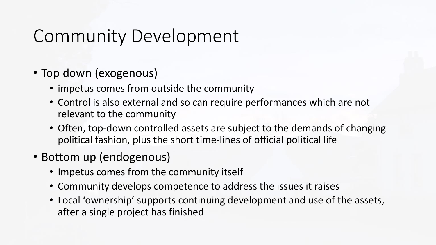# Community Development

- Top down (exogenous)
	- impetus comes from outside the community
	- Control is also external and so can require performances which are not relevant to the community
	- Often, top-down controlled assets are subject to the demands of changing political fashion, plus the short time-lines of official political life
- Bottom up (endogenous)
	- Impetus comes from the community itself
	- Community develops competence to address the issues it raises
	- Local 'ownership' supports continuing development and use of the assets, after a single project has finished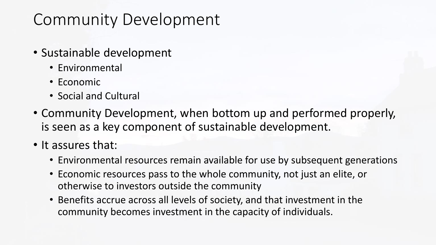## Community Development

- Sustainable development
	- Environmental
	- Economic
	- Social and Cultural
- Community Development, when bottom up and performed properly, is seen as a key component of sustainable development.
- It assures that:
	- Environmental resources remain available for use by subsequent generations
	- Economic resources pass to the whole community, not just an elite, or otherwise to investors outside the community
	- Benefits accrue across all levels of society, and that investment in the community becomes investment in the capacity of individuals.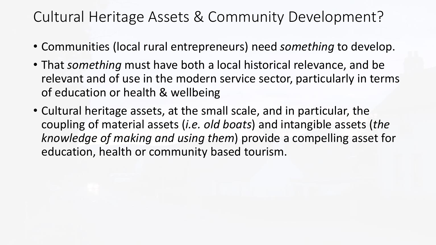### Cultural Heritage Assets & Community Development?

- Communities (local rural entrepreneurs) need *something* to develop.
- That *something* must have both a local historical relevance, and be relevant and of use in the modern service sector, particularly in terms of education or health & wellbeing
- Cultural heritage assets, at the small scale, and in particular, the coupling of material assets (*i.e. old boats*) and intangible assets (*the knowledge of making and using them*) provide a compelling asset for education, health or community based tourism.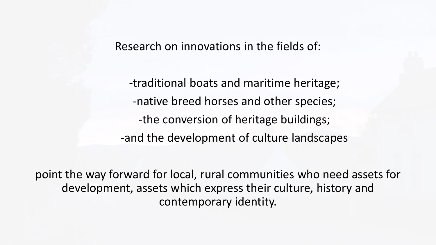Research on innovations in the fields of:

-traditional boats and maritime heritage; -native breed horses and other species; -the conversion of heritage buildings; -and the development of culture landscapes

point the way forward for local, rural communities who need assets for development, assets which express their culture, history and contemporary identity.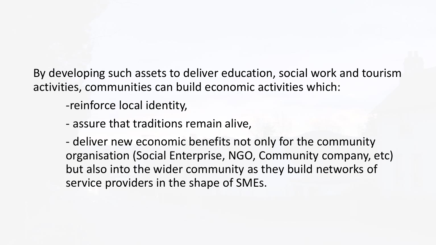By developing such assets to deliver education, social work and tourism activities, communities can build economic activities which:

-reinforce local identity,

- assure that traditions remain alive,

- deliver new economic benefits not only for the community organisation (Social Enterprise, NGO, Community company, etc) but also into the wider community as they build networks of service providers in the shape of SMEs.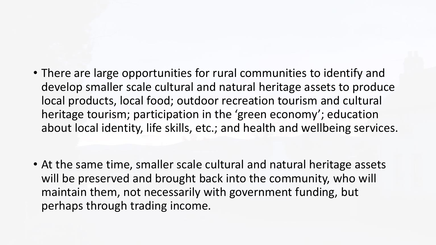- There are large opportunities for rural communities to identify and develop smaller scale cultural and natural heritage assets to produce local products, local food; outdoor recreation tourism and cultural heritage tourism; participation in the 'green economy'; education about local identity, life skills, etc.; and health and wellbeing services.
- At the same time, smaller scale cultural and natural heritage assets will be preserved and brought back into the community, who will maintain them, not necessarily with government funding, but perhaps through trading income.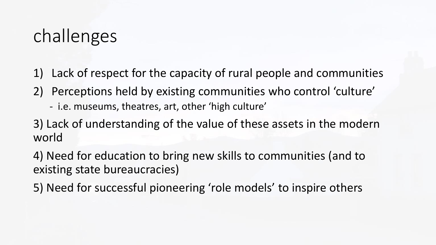# challenges

- 1) Lack of respect for the capacity of rural people and communities
- 2) Perceptions held by existing communities who control 'culture'
	- i.e. museums, theatres, art, other 'high culture'
- 3) Lack of understanding of the value of these assets in the modern world

4) Need for education to bring new skills to communities (and to existing state bureaucracies)

5) Need for successful pioneering 'role models' to inspire others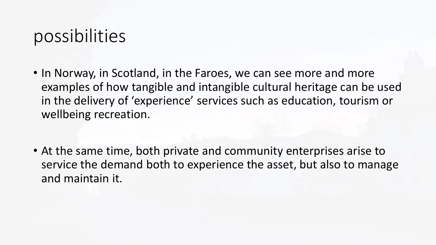## possibilities

- In Norway, in Scotland, in the Faroes, we can see more and more examples of how tangible and intangible cultural heritage can be used in the delivery of 'experience' services such as education, tourism or wellbeing recreation.
- At the same time, both private and community enterprises arise to service the demand both to experience the asset, but also to manage and maintain it.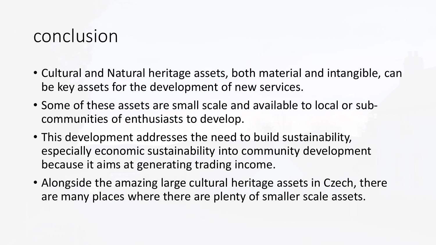### conclusion

- Cultural and Natural heritage assets, both material and intangible, can be key assets for the development of new services.
- Some of these assets are small scale and available to local or subcommunities of enthusiasts to develop.
- This development addresses the need to build sustainability, especially economic sustainability into community development because it aims at generating trading income.
- Alongside the amazing large cultural heritage assets in Czech, there are many places where there are plenty of smaller scale assets.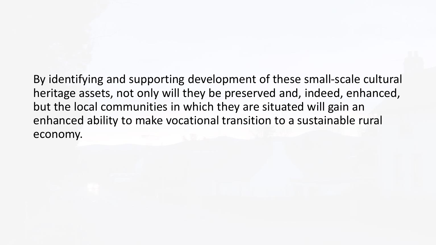By identifying and supporting development of these small-scale cultural heritage assets, not only will they be preserved and, indeed, enhanced, but the local communities in which they are situated will gain an enhanced ability to make vocational transition to a sustainable rural economy.